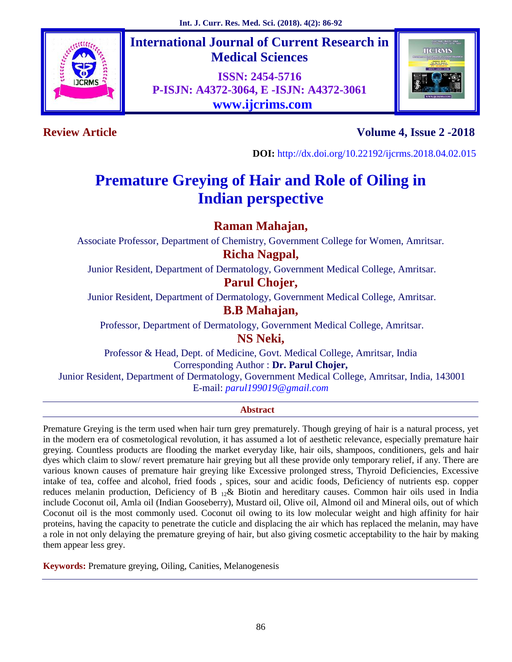

**International Journal of Current Research in Medical Sciences**

**ISSN: 2454-5716 P-ISJN: A4372-3064, E -ISJN: A4372-3061 www.ijcrims.com**



# **Review Article Volume 4, Issue 2 -2018**

**DOI:** http://dx.doi.org/10.22192/ijcrms.2018.04.02.015

# **Premature Greying of Hair and Role of Oiling in Indian perspective**

## **Raman Mahajan,**

Associate Professor, Department of Chemistry, Government College for Women, Amritsar.

## **Richa Nagpal,**

Junior Resident, Department of Dermatology, Government Medical College, Amritsar.

**Parul Chojer,**

Junior Resident, Department of Dermatology, Government Medical College, Amritsar.

## **B.B Mahajan,**

Professor, Department of Dermatology, Government Medical College, Amritsar.

**NS Neki,**

Professor & Head, Dept. of Medicine, Govt. Medical College, Amritsar, India Corresponding Author : **Dr. Parul Chojer,**

Junior Resident, Department of Dermatology, Government Medical College, Amritsar, India, 143001 E-mail: *parul199019@gmail.com*

#### **Abstract**

Premature Greying is the term used when hair turn grey prematurely. Though greying of hair is a natural process, yet in the modern era of cosmetological revolution, it has assumed a lot of aesthetic relevance, especially premature hair greying. Countless products are flooding the market everyday like, hair oils, shampoos, conditioners, gels and hair dyes which claim to slow/ revert premature hair greying but all these provide only temporary relief, if any. There are various known causes of premature hair greying like Excessive prolonged stress, Thyroid Deficiencies, Excessive intake of tea, coffee and alcohol, fried foods , spices, sour and acidic foods, Deficiency of nutrients esp. copper reduces melanin production, Deficiency of B <sup>12</sup>& Biotin and hereditary causes. Common hair oils used in India include Coconut oil, Amla oil (Indian Gooseberry), Mustard oil, Olive oil, Almond oil and Mineral oils, out of which Coconut oil is the most commonly used. Coconut oil owing to its low molecular weight and high affinity for hair proteins, having the capacity to penetrate the cuticle and displacing the air which has replaced the melanin, may have a role in not only delaying the premature greying of hair, but also giving cosmetic acceptability to the hair by making them appear less grey.

**Keywords:** Premature greying, Oiling, Canities, Melanogenesis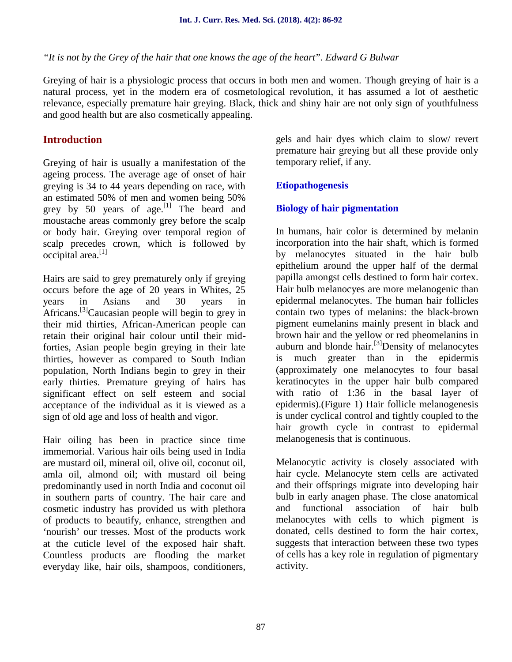*"It is not by the Grey of the hair that one knows the age of the heart*". *Edward G Bulwar*

Greying of hair is a physiologic process that occurs in both men and women. Though greying of hair is a natural process, yet in the modern era of cosmetological revolution, it has assumed a lot of aesthetic relevance, especially premature hair greying. Black, thick and shiny hair are not only sign of youthfulness and good health but are also cosmetically appealing.

## **Introduction**

Greying of hair is usually a manifestation of the ageing process. The average age of onset of hair greying is 34 to 44 years depending on race, with an estimated 50% of men and women being 50% grey by 50 years of age.<sup>[1]</sup> The beard and moustache areas commonly grey before the scalp or body hair. Greying over temporal region of scalp precedes crown, which is followed by occipital area.<sup>[1]</sup>

Hairs are said to grey prematurely only if greying occurs before the age of 20 years in Whites, 25 years in Asians and 30 years in Africans.<sup>[3]</sup>Caucasian people will begin to grey in their mid thirties, African-American people can retain their original hair colour until their midforties, Asian people begin greying in their late thirties, however as compared to South Indian population, North Indians begin to grey in their early thirties. Premature greying of hairs has significant effect on self esteem and social acceptance of the individual as it is viewed as a sign of old age and loss of health and vigor.

Hair oiling has been in practice since time immemorial. Various hair oils being used in India are mustard oil, mineral oil, olive oil, coconut oil, amla oil, almond oil; with mustard oil being predominantly used in north India and coconut oil in southern parts of country. The hair care and cosmetic industry has provided us with plethora of products to beautify, enhance, strengthen and 'nourish' our tresses. Most of the products work at the cuticle level of the exposed hair shaft. Countless products are flooding the market everyday like, hair oils, shampoos, conditioners,

gels and hair dyes which claim to slow/ revert premature hair greying but all these provide only temporary relief, if any.

#### **Etiopathogenesis**

### **Biology of hair pigmentation**

In humans, hair color is determined by melanin incorporation into the hair shaft, which is formed by melanocytes situated in the hair bulb epithelium around the upper half of the dermal papilla amongst cells destined to form hair cortex. Hair bulb melanocyes are more melanogenic than epidermal melanocytes. The human hair follicles contain two types of melanins: the black-brown pigment eumelanins mainly present in black and brown hair and the yellow or red pheomelanins in auburn and blonde hair. $^{[3]}$ Density of melanocytes is much greater than in the epidermis (approximately one melanocytes to four basal keratinocytes in the upper hair bulb compared with ratio of 1:36 in the basal layer of epidermis).(Figure 1) Hair follicle melanogenesis is under cyclical control and tightly coupled to the hair growth cycle in contrast to epidermal melanogenesis that is continuous.

Melanocytic activity is closely associated with hair cycle. Melanocyte stem cells are activated and their offsprings migrate into developing hair bulb in early anagen phase. The close anatomical functional association of hair bulb melanocytes with cells to which pigment is donated, cells destined to form the hair cortex, suggests that interaction between these two types of cells has a key role in regulation of pigmentary activity.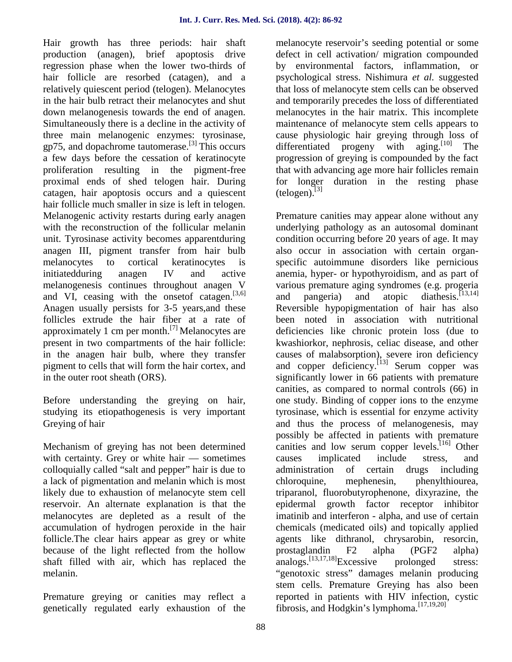Hair growth has three periods: hair shaft production (anagen), brief apoptosis drive regression phase when the lower two-thirds of hair follicle are resorbed (catagen), and a relatively quiescent period (telogen). Melanocytes in the hair bulb retract their melanocytes and shut down melanogenesis towards the end of anagen. Simultaneously there is a decline in the activity of three main melanogenic enzymes: tyrosinase, gp75, and dopachrome tautomerase.[3] This occurs a few days before the cessation of keratinocyte proliferation resulting in the pigment-free proximal ends of shed telogen hair. During catagen, hair apoptosis occurs and a quiescent hair follicle much smaller in size is left in telogen. Melanogenic activity restarts during early anagen with the reconstruction of the follicular melanin unit. Tyrosinase activity becomes apparentduring anagen III, pigment transfer from hair bulb melanocytes to cortical keratinocytes is initiatedduring anagen IV and active melanogenesis continues throughout anagen V and VI, ceasing with the onset of catagen.  $[3,6]$ Anagen usually persists for 3-5 years,and these follicles extrude the hair fiber at a rate of approximately 1 cm per month.<sup>[7]</sup> Melanocytes are present in two compartments of the hair follicle: in the anagen hair bulb, where they transfer pigment to cells that will form the hair cortex, and in the outer root sheath (ORS).

Before understanding the greying on hair, studying its etiopathogenesis is very important Greying of hair

Mechanism of greying has not been determined with certainty. Grey or white hair — sometimes colloquially called "salt and pepper" hair is due to a lack of pigmentation and melanin which is most likely due to exhaustion of melanocyte stem cell reservoir. An alternate explanation is that the melanocytes are depleted as a result of the accumulation of hydrogen peroxide in the hair follicle.The clear hairs appear as grey or white because of the light reflected from the hollow shaft filled with air, which has replaced the melanin.

Premature greying or canities may reflect a genetically regulated early exhaustion of the melanocyte reservoir's seeding potential or some defect in cell activation/ migration compounded by environmental factors, inflammation, or psychological stress. Nishimura *et al.* suggested that loss of melanocyte stem cells can be observed and temporarily precedes the loss of differentiated melanocytes in the hair matrix. This incomplete maintenance of melanocyte stem cells appears to cause physiologic hair greying through loss of differentiated progeny with aging.<sup>[10]</sup> The progression of greying is compounded by the fact that with advancing age more hair follicles remain for longer duration in the resting phase  $(telogen)$ .  $[3]$ 

Premature canities may appear alone without any underlying pathology as an autosomal dominant condition occurring before 20 years of age. It may also occur in association with certain organ specific autoimmune disorders like pernicious anemia, hyper- or hypothyroidism, and as part of various premature aging syndromes (e.g. progeria and pangeria) and atopic diathesis.<sup>[13,14]</sup> Reversible hypopigmentation of hair has also been noted in association with nutritional deficiencies like chronic protein loss (due to kwashiorkor, nephrosis, celiac disease, and other causes of malabsorption), severe iron deficiency and copper deficiency.  $[13]$  Serum copper was significantly lower in 66 patients with premature canities, as compared to normal controls (66) in one study. Binding of copper ions to the enzyme tyrosinase, which is essential for enzyme activity and thus the process of melanogenesis, may possibly be affected in patients with premature canities and low serum copper levels.<sup>[16]</sup> Other causes implicated include stress, and administration of certain drugs including chloroquine, mephenesin, phenylthiourea, triparanol, fluorobutyrophenone, dixyrazine, the epidermal growth factor receptor inhibitor imatinib and interferon - alpha, and use of certain chemicals (medicated oils) and topically applied agents like dithranol, chrysarobin, resorcin, prostaglandin F2 alpha (PGF2 alpha) analogs.<sup>[13,17,18]</sup>Excessive prolonged stress: "genotoxic stress" damages melanin producing stem cells. Premature Greying has also been reported in patients with HIV infection, cystic fibrosis, and Hodgkin's lymphoma.[17,19,20]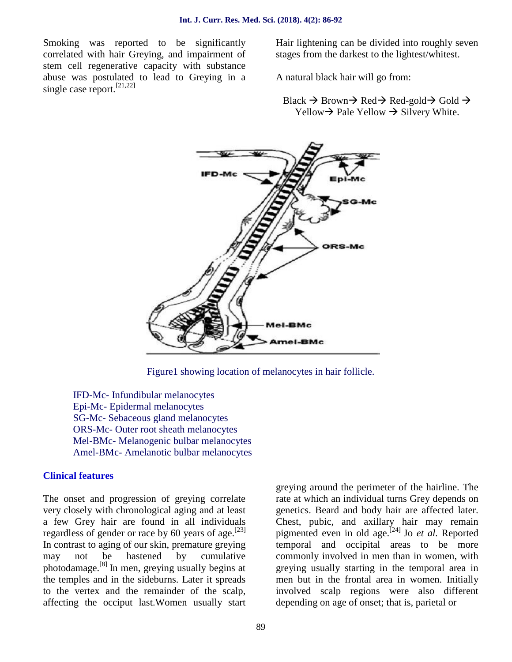Smoking was reported to be significantly correlated with hair Greying, and impairment of stem cell regenerative capacity with substance abuse was postulated to lead to Greying in a single case report.<sup>[21,22]</sup>

Hair lightening can be divided into roughly seven stages from the darkest to the lightest/whitest.

A natural black hair will go from:

Black  $\rightarrow$  Brown $\rightarrow$  Red $\rightarrow$  Red-gold $\rightarrow$  Gold  $\rightarrow$ Yellow  $\rightarrow$  Pale Yellow  $\rightarrow$  Silvery White.



Figure1 showing location of melanocytes in hair follicle.

IFD-Mc- Infundibular melanocytes Epi-Mc- Epidermal melanocytes SG-Mc- Sebaceous gland melanocytes ORS-Mc- Outer root sheath melanocytes Mel-BMc- Melanogenic bulbar melanocytes Amel-BMc- Amelanotic bulbar melanocytes

#### **Clinical features**

The onset and progression of greying correlate very closely with chronological aging and at least a few Grey hair are found in all individuals regardless of gender or race by 60 years of age.<sup>[23]</sup> In contrast to aging of our skin, premature greying may not be hastened by cumulative photodamage.[8] In men, greying usually begins at the temples and in the sideburns. Later it spreads to the vertex and the remainder of the scalp, affecting the occiput last.Women usually start greying around the perimeter of the hairline. The rate at which an individual turns Grey depends on genetics. Beard and body hair are affected later. Chest, pubic, and axillary hair may remain pigmented even in old age.[24] Jo *et al.* Reported temporal and occipital areas to be more commonly involved in men than in women, with greying usually starting in the temporal area in men but in the frontal area in women. Initially involved scalp regions were also different depending on age of onset; that is, parietal or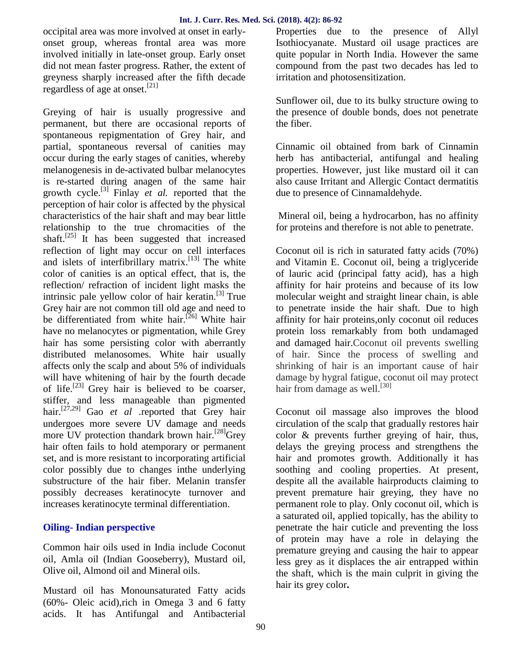occipital area was more involved at onset in early onset group, whereas frontal area was more involved initially in late-onset group. Early onset did not mean faster progress. Rather, the extent of greyness sharply increased after the fifth decade regardless of age at onset.[21]

Greying of hair is usually progressive and permanent, but there are occasional reports of spontaneous repigmentation of Grey hair, and partial, spontaneous reversal of canities may occur during the early stages of canities, whereby melanogenesis in de-activated bulbar melanocytes is re-started during anagen of the same hair growth cycle.[3] Finlay *et al.* reported that the perception of hair color is affected by the physical characteristics of the hair shaft and may bear little relationship to the true chromacities of the shaft.<sup>[25]</sup> It has been suggested that increased reflection of light may occur on cell interfaces and islets of interfibrillary matrix.<sup>[13]</sup> The white color of canities is an optical effect, that is, the reflection/ refraction of incident light masks the intrinsic pale yellow color of hair keratin. $^{[3]}$  True Grey hair are not common till old age and need to be differentiated from white hair.<sup>[26]</sup> White hair have no melanocytes or pigmentation, while Grey hair has some persisting color with aberrantly distributed melanosomes. White hair usually affects only the scalp and about 5% of individuals will have whitening of hair by the fourth decade of life.<sup>[23]</sup> Grey hair is believed to be coarser, stiffer, and less manageable than pigmented hair.[27,29] Gao *et al .*reported that Grey hair undergoes more severe UV damage and needs more UV protection thandark brown hair.<sup>[28]</sup>Grey hair often fails to hold atemporary or permanent set, and is more resistant to incorporating artificial color possibly due to changes inthe underlying substructure of the hair fiber. Melanin transfer possibly decreases keratinocyte turnover and increases keratinocyte terminal differentiation.

#### **Oiling- Indian perspective**

Common hair oils used in India include Coconut oil, Amla oil (Indian Gooseberry), Mustard oil, Olive oil, Almond oil and Mineral oils.

Mustard oil has Monounsaturated Fatty acids (60%- Oleic acid),rich in Omega 3 and 6 fatty acids. It has Antifungal and Antibacterial

Properties due to the presence of Allyl Isothiocyanate. Mustard oil usage practices are quite popular in North India. However the same compound from the past two decades has led to irritation and photosensitization.

Sunflower oil, due to its bulky structure owing to the presence of double bonds, does not penetrate the fiber.

Cinnamic oil obtained from bark of Cinnamin herb has antibacterial, antifungal and healing properties. However, just like mustard oil it can also cause Irritant and Allergic Contact dermatitis due to presence of Cinnamaldehyde.

Mineral oil, being a hydrocarbon, has no affinity for proteins and therefore is not able to penetrate.

Coconut oil is rich in saturated fatty acids (70%) and Vitamin E. Coconut oil, being a triglyceride of lauric acid (principal fatty acid), has a high affinity for hair proteins and because of its low molecular weight and straight linear chain, is able to penetrate inside the hair shaft. Due to high affinity for hair proteins,only coconut oil reduces protein loss remarkably from both undamaged and damaged hair.Coconut oil prevents swelling of hair. Since the process of swelling and shrinking of hair is an important cause of hair damage by hygral fatigue, coconut oil may protect hair from damage as well.<sup>[30]</sup>

Coconut oil massage also improves the blood circulation of the scalp that gradually restores hair color & prevents further greying of hair, thus, delays the greying process and strengthens the hair and promotes growth. Additionally it has soothing and cooling properties. At present, despite all the available hairproducts claiming to prevent premature hair greying, they have no permanent role to play. Only coconut oil, which is a saturated oil, applied topically, has the ability to penetrate the hair cuticle and preventing the loss of protein may have a role in delaying the premature greying and causing the hair to appear less grey as it displaces the air entrapped within the shaft, which is the main culprit in giving the hair its grey color**.**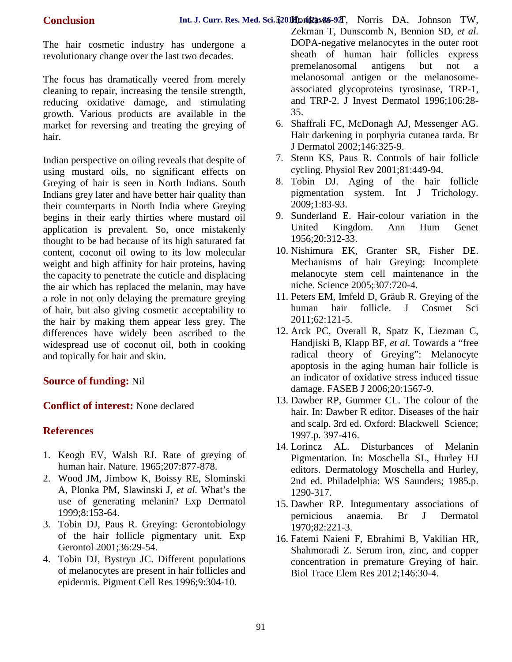The hair cosmetic industry has undergone a revolutionary change over the last two decades.

The focus has dramatically veered from merely cleaning to repair, increasing the tensile strength, reducing oxidative damage, and stimulating growth. Various products are available in the market for reversing and treating the greying of hair.

Indian perspective on oiling reveals that despite of using mustard oils, no significant effects on Greying of hair is seen in North Indians. South Indians grey later and have better hair quality than their counterparts in North India where Greying begins in their early thirties where mustard oil application is prevalent. So, once mistakenly thought to be bad because of its high saturated fat content, coconut oil owing to its low molecular weight and high affinity for hair proteins, having the capacity to penetrate the cuticle and displacing the air which has replaced the melanin, may have a role in not only delaying the premature greying of hair, but also giving cosmetic acceptability to the hair by making them appear less grey. The differences have widely been ascribed to the widespread use of coconut oil, both in cooking and topically for hair and skin.

## **Source of funding:** Nil

**Conflict of interest:** None declared

## **References**

- 1. Keogh EV, Walsh RJ. Rate of greying of human hair. Nature. 1965;207:877-878.
- 2. Wood JM, Jimbow K, Boissy RE, Slominski A, Plonka PM, Slawinski J, *et al.* What's the use of generating melanin? Exp Dermatol 1999;8:153-64.
- 3. Tobin DJ, Paus R. Greying: Gerontobiology of the hair follicle pigmentary unit. Exp Gerontol 2001;36:29-54.
- 4. Tobin DJ, Bystryn JC. Different populations of melanocytes are present in hair follicles and epidermis. Pigment Cell Res 1996;9:304-10.
- DOPA-negative melanocytes in the outer root sheath of human hair follicles express premelanosomal antigens but not a melanosomal antigen or the melanosome associated glycoproteins tyrosinase, TRP-1, and TRP-2. J Invest Dermatol 1996;106:28- 35.
- 6. Shaffrali FC, McDonagh AJ, Messenger AG. Hair darkening in porphyria cutanea tarda. Br J Dermatol 2002;146:325-9.
- 7. Stenn KS, Paus R. Controls of hair follicle cycling. Physiol Rev 2001;81:449-94.
- 8. Tobin DJ. Aging of the hair follicle pigmentation system. Int J Trichology. 2009;1:83-93.
- 9. Sunderland E. Hair-colour variation in the United Kingdom. Ann Hum Genet 1956;20:312-33.
- 10. Nishimura EK, Granter SR, Fisher DE. Mechanisms of hair Greying: Incomplete melanocyte stem cell maintenance in the niche. Science 2005;307:720-4.
- 11. Peters EM, Imfeld D, Gräub R. Greying of the human hair follicle. J Cosmet Sci 2011;62:121-5.
- 12. Arck PC, Overall R, Spatz K, Liezman C, Handjiski B, Klapp BF, *et al.* Towards a "free radical theory of Greying": Melanocyte apoptosis in the aging human hair follicle is an indicator of oxidative stress induced tissue damage. FASEB J 2006;20:1567-9.
- 13. Dawber RP, Gummer CL. The colour of the hair. In: Dawber R editor. Diseases of the hair and scalp. 3rd ed. Oxford: Blackwell Science; 1997.p. 397-416.
- 14. Lorincz AL. Disturbances of Melanin Pigmentation. In: Moschella SL, Hurley HJ editors. Dermatology Moschella and Hurley, 2nd ed. Philadelphia: WS Saunders; 1985.p. 1290-317.
- 15. Dawber RP. Integumentary associations of pernicious anaemia. Br J Dermatol 1970;82:221-3.
- 16. Fatemi Naieni F, Ebrahimi B, Vakilian HR, Shahmoradi Z. Serum iron, zinc, and copper concentration in premature Greying of hair. Biol Trace Elem Res 2012;146:30-4.